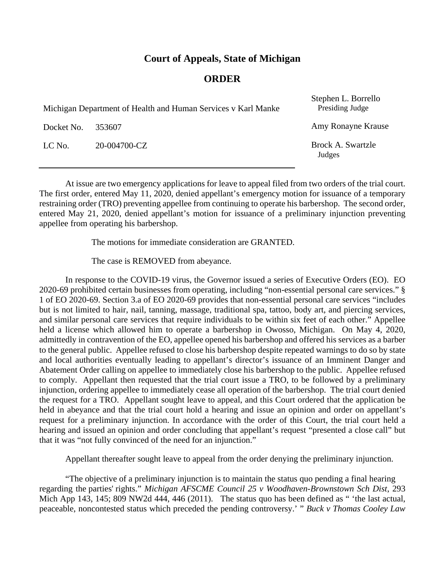## **Court of Appeals, State of Michigan**

## **ORDER**

| Michigan Department of Health and Human Services v Karl Manke |              | Stephen L. Borrello<br>Presiding Judge |
|---------------------------------------------------------------|--------------|----------------------------------------|
| Docket No.                                                    | 353607       | Amy Ronayne Krause                     |
| LC No.                                                        | 20-004700-CZ | Brock A. Swartzle<br>Judges            |

At issue are two emergency applications for leave to appeal filed from two orders of the trial court. The first order, entered May 11, 2020, denied appellant's emergency motion for issuance of a temporary restraining order (TRO) preventing appellee from continuing to operate his barbershop. The second order, entered May 21, 2020, denied appellant's motion for issuance of a preliminary injunction preventing appellee from operating his barbershop.

The motions for immediate consideration are GRANTED.

The case is REMOVED from abeyance.

In response to the COVID-19 virus, the Governor issued a series of Executive Orders (EO). EO 2020-69 prohibited certain businesses from operating, including "non-essential personal care services." § 1 of EO 2020-69. Section 3.a of EO 2020-69 provides that non-essential personal care services "includes but is not limited to hair, nail, tanning, massage, traditional spa, tattoo, body art, and piercing services, and similar personal care services that require individuals to be within six feet of each other." Appellee held a license which allowed him to operate a barbershop in Owosso, Michigan. On May 4, 2020, admittedly in contravention of the EO, appellee opened his barbershop and offered his services as a barber to the general public. Appellee refused to close his barbershop despite repeated warnings to do so by state and local authorities eventually leading to appellant's director's issuance of an Imminent Danger and Abatement Order calling on appellee to immediately close his barbershop to the public. Appellee refused to comply. Appellant then requested that the trial court issue a TRO, to be followed by a preliminary injunction, ordering appellee to immediately cease all operation of the barbershop. The trial court denied the request for a TRO. Appellant sought leave to appeal, and this Court ordered that the application be held in abeyance and that the trial court hold a hearing and issue an opinion and order on appellant's request for a preliminary injunction. In accordance with the order of this Court, the trial court held a hearing and issued an opinion and order concluding that appellant's request "presented a close call" but that it was "not fully convinced of the need for an injunction."

Appellant thereafter sought leave to appeal from the order denying the preliminary injunction.

"The objective of a preliminary injunction is to maintain the status quo pending a final hearing regarding the parties' rights." *Michigan AFSCME Council 25 v Woodhaven-Brownstown Sch Dist*, 293 Mich App 143, 145; 809 NW2d 444, 446 (2011). The status quo has been defined as " 'the last actual, peaceable, noncontested status which preceded the pending controversy.' " *Buck v Thomas Cooley Law*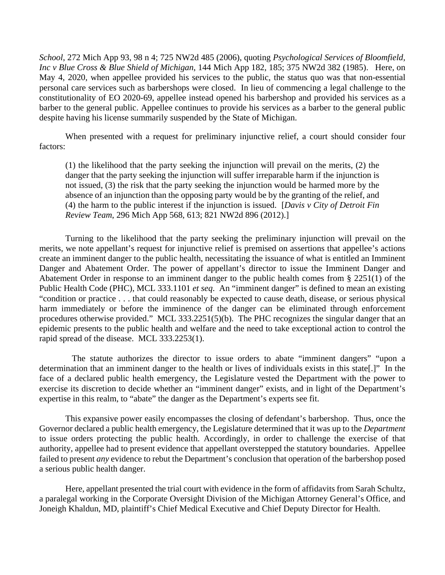*School*, 272 Mich App 93, 98 n 4; 725 NW2d 485 (2006), quoting *Psychological Services of Bloomfield, Inc v Blue Cross & Blue Shield of Michigan*, 144 Mich App 182, 185; 375 NW2d 382 (1985). Here, on May 4, 2020, when appellee provided his services to the public, the status quo was that non-essential personal care services such as barbershops were closed. In lieu of commencing a legal challenge to the constitutionality of EO 2020-69, appellee instead opened his barbershop and provided his services as a barber to the general public. Appellee continues to provide his services as a barber to the general public despite having his license summarily suspended by the State of Michigan.

When presented with a request for preliminary injunctive relief, a court should consider four factors:

(1) the likelihood that the party seeking the injunction will prevail on the merits, (2) the danger that the party seeking the injunction will suffer irreparable harm if the injunction is not issued, (3) the risk that the party seeking the injunction would be harmed more by the absence of an injunction than the opposing party would be by the granting of the relief, and (4) the harm to the public interest if the injunction is issued. [*Davis v City of Detroit Fin Review Team*, 296 Mich App 568, 613; 821 NW2d 896 (2012).]

Turning to the likelihood that the party seeking the preliminary injunction will prevail on the merits, we note appellant's request for injunctive relief is premised on assertions that appellee's actions create an imminent danger to the public health, necessitating the issuance of what is entitled an Imminent Danger and Abatement Order. The power of appellant's director to issue the Imminent Danger and Abatement Order in response to an imminent danger to the public health comes from § 2251(1) of the Public Health Code (PHC), MCL 333.1101 *et seq*. An "imminent danger" is defined to mean an existing "condition or practice . . . that could reasonably be expected to cause death, disease, or serious physical harm immediately or before the imminence of the danger can be eliminated through enforcement procedures otherwise provided." MCL 333.2251(5)(b). The PHC recognizes the singular danger that an epidemic presents to the public health and welfare and the need to take exceptional action to control the rapid spread of the disease. MCL 333.2253(1).

 The statute authorizes the director to issue orders to abate "imminent dangers" "upon a determination that an imminent danger to the health or lives of individuals exists in this state[.]" In the face of a declared public health emergency, the Legislature vested the Department with the power to exercise its discretion to decide whether an "imminent danger" exists, and in light of the Department's expertise in this realm, to "abate" the danger as the Department's experts see fit.

This expansive power easily encompasses the closing of defendant's barbershop. Thus, once the Governor declared a public health emergency, the Legislature determined that it was up to the *Department* to issue orders protecting the public health. Accordingly, in order to challenge the exercise of that authority, appellee had to present evidence that appellant overstepped the statutory boundaries. Appellee failed to present *any* evidence to rebut the Department's conclusion that operation of the barbershop posed a serious public health danger.

Here, appellant presented the trial court with evidence in the form of affidavits from Sarah Schultz, a paralegal working in the Corporate Oversight Division of the Michigan Attorney General's Office, and Joneigh Khaldun, MD, plaintiff's Chief Medical Executive and Chief Deputy Director for Health.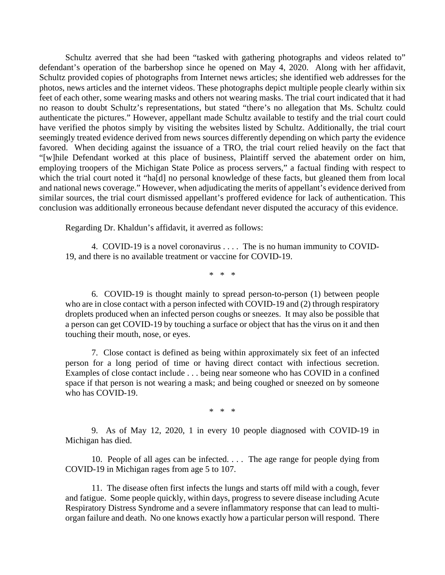Schultz averred that she had been "tasked with gathering photographs and videos related to" defendant's operation of the barbershop since he opened on May 4, 2020. Along with her affidavit, Schultz provided copies of photographs from Internet news articles; she identified web addresses for the photos, news articles and the internet videos. These photographs depict multiple people clearly within six feet of each other, some wearing masks and others not wearing masks. The trial court indicated that it had no reason to doubt Schultz's representations, but stated "there's no allegation that Ms. Schultz could authenticate the pictures." However, appellant made Schultz available to testify and the trial court could have verified the photos simply by visiting the websites listed by Schultz. Additionally, the trial court seemingly treated evidence derived from news sources differently depending on which party the evidence favored. When deciding against the issuance of a TRO, the trial court relied heavily on the fact that "[w]hile Defendant worked at this place of business, Plaintiff served the abatement order on him, employing troopers of the Michigan State Police as process servers," a factual finding with respect to which the trial court noted it "ha[d] no personal knowledge of these facts, but gleaned them from local and national news coverage." However, when adjudicating the merits of appellant's evidence derived from similar sources, the trial court dismissed appellant's proffered evidence for lack of authentication. This conclusion was additionally erroneous because defendant never disputed the accuracy of this evidence.

Regarding Dr. Khaldun's affidavit, it averred as follows:

4. COVID-19 is a novel coronavirus . . . . The is no human immunity to COVID-19, and there is no available treatment or vaccine for COVID-19.

\* \* \*

6. COVID-19 is thought mainly to spread person-to-person (1) between people who are in close contact with a person infected with COVID-19 and (2) through respiratory droplets produced when an infected person coughs or sneezes. It may also be possible that a person can get COVID-19 by touching a surface or object that has the virus on it and then touching their mouth, nose, or eyes.

7. Close contact is defined as being within approximately six feet of an infected person for a long period of time or having direct contact with infectious secretion. Examples of close contact include . . . being near someone who has COVID in a confined space if that person is not wearing a mask; and being coughed or sneezed on by someone who has COVID-19.

\* \* \*

9. As of May 12, 2020, 1 in every 10 people diagnosed with COVID-19 in Michigan has died.

10. People of all ages can be infected. . . . The age range for people dying from COVID-19 in Michigan rages from age 5 to 107.

11. The disease often first infects the lungs and starts off mild with a cough, fever and fatigue. Some people quickly, within days, progress to severe disease including Acute Respiratory Distress Syndrome and a severe inflammatory response that can lead to multiorgan failure and death. No one knows exactly how a particular person will respond. There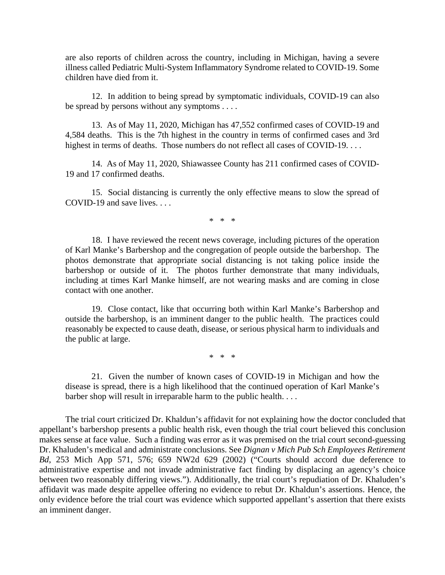are also reports of children across the country, including in Michigan, having a severe illness called Pediatric Multi-System Inflammatory Syndrome related to COVID-19. Some children have died from it.

12. In addition to being spread by symptomatic individuals, COVID-19 can also be spread by persons without any symptoms . . . .

13. As of May 11, 2020, Michigan has 47,552 confirmed cases of COVID-19 and 4,584 deaths. This is the 7th highest in the country in terms of confirmed cases and 3rd highest in terms of deaths. Those numbers do not reflect all cases of COVID-19. . . .

14. As of May 11, 2020, Shiawassee County has 211 confirmed cases of COVID-19 and 17 confirmed deaths.

15. Social distancing is currently the only effective means to slow the spread of COVID-19 and save lives. . . .

\* \* \*

18. I have reviewed the recent news coverage, including pictures of the operation of Karl Manke's Barbershop and the congregation of people outside the barbershop. The photos demonstrate that appropriate social distancing is not taking police inside the barbershop or outside of it. The photos further demonstrate that many individuals, including at times Karl Manke himself, are not wearing masks and are coming in close contact with one another.

19. Close contact, like that occurring both within Karl Manke's Barbershop and outside the barbershop, is an imminent danger to the public health. The practices could reasonably be expected to cause death, disease, or serious physical harm to individuals and the public at large.

\* \* \*

21. Given the number of known cases of COVID-19 in Michigan and how the disease is spread, there is a high likelihood that the continued operation of Karl Manke's barber shop will result in irreparable harm to the public health. . . .

The trial court criticized Dr. Khaldun's affidavit for not explaining how the doctor concluded that appellant's barbershop presents a public health risk, even though the trial court believed this conclusion makes sense at face value. Such a finding was error as it was premised on the trial court second-guessing Dr. Khaluden's medical and administrate conclusions. See *Dignan v Mich Pub Sch Employees Retirement Bd*, 253 Mich App 571, 576; 659 NW2d 629 (2002) ("Courts should accord due deference to administrative expertise and not invade administrative fact finding by displacing an agency's choice between two reasonably differing views."). Additionally, the trial court's repudiation of Dr. Khaluden's affidavit was made despite appellee offering no evidence to rebut Dr. Khaldun's assertions. Hence, the only evidence before the trial court was evidence which supported appellant's assertion that there exists an imminent danger.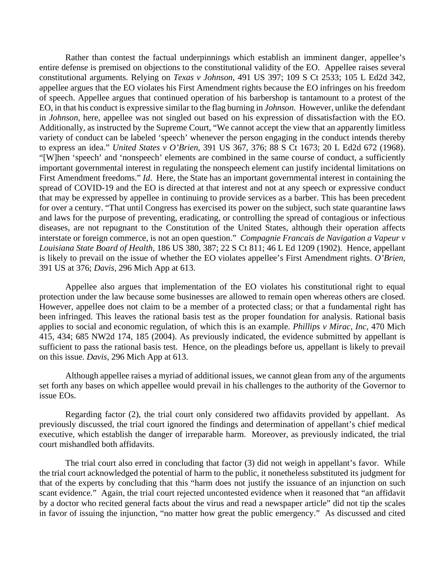Rather than contest the factual underpinnings which establish an imminent danger, appellee's entire defense is premised on objections to the constitutional validity of the EO. Appellee raises several constitutional arguments. Relying on *Texas v Johnson*, 491 US 397; 109 S Ct 2533; 105 L Ed2d 342, appellee argues that the EO violates his First Amendment rights because the EO infringes on his freedom of speech. Appellee argues that continued operation of his barbershop is tantamount to a protest of the EO, in that his conduct is expressive similar to the flag burning in *Johnson*. However, unlike the defendant in *Johnson*, here, appellee was not singled out based on his expression of dissatisfaction with the EO. Additionally, as instructed by the Supreme Court, "We cannot accept the view that an apparently limitless variety of conduct can be labeled 'speech' whenever the person engaging in the conduct intends thereby to express an idea." *United States v O'Brien*, 391 US 367, 376; 88 S Ct 1673; 20 L Ed2d 672 (1968). "[W]hen 'speech' and 'nonspeech' elements are combined in the same course of conduct, a sufficiently important governmental interest in regulating the nonspeech element can justify incidental limitations on First Amendment freedoms." *Id*. Here, the State has an important governmental interest in containing the spread of COVID-19 and the EO is directed at that interest and not at any speech or expressive conduct that may be expressed by appellee in continuing to provide services as a barber. This has been precedent for over a century. "That until Congress has exercised its power on the subject, such state quarantine laws and laws for the purpose of preventing, eradicating, or controlling the spread of contagious or infectious diseases, are not repugnant to the Constitution of the United States, although their operation affects interstate or foreign commerce, is not an open question." *Compagnie Francais de Navigation a Vapeur v Louisiana State Board of Health,* 186 US 380, 387; 22 S Ct 811; 46 L Ed 1209 (1902). Hence, appellant is likely to prevail on the issue of whether the EO violates appellee's First Amendment rights. *O'Brien*, 391 US at 376; *Davis*, 296 Mich App at 613.

Appellee also argues that implementation of the EO violates his constitutional right to equal protection under the law because some businesses are allowed to remain open whereas others are closed. However, appellee does not claim to be a member of a protected class; or that a fundamental right has been infringed. This leaves the rational basis test as the proper foundation for analysis. Rational basis applies to social and economic regulation, of which this is an example. *Phillips v Mirac, Inc*, 470 Mich 415, 434; 685 NW2d 174, 185 (2004). As previously indicated, the evidence submitted by appellant is sufficient to pass the rational basis test. Hence, on the pleadings before us, appellant is likely to prevail on this issue. *Davis*, 296 Mich App at 613.

Although appellee raises a myriad of additional issues, we cannot glean from any of the arguments set forth any bases on which appellee would prevail in his challenges to the authority of the Governor to issue EOs.

Regarding factor (2), the trial court only considered two affidavits provided by appellant. As previously discussed, the trial court ignored the findings and determination of appellant's chief medical executive, which establish the danger of irreparable harm. Moreover, as previously indicated, the trial court mishandled both affidavits.

The trial court also erred in concluding that factor (3) did not weigh in appellant's favor. While the trial court acknowledged the potential of harm to the public, it nonetheless substituted its judgment for that of the experts by concluding that this "harm does not justify the issuance of an injunction on such scant evidence." Again, the trial court rejected uncontested evidence when it reasoned that "an affidavit by a doctor who recited general facts about the virus and read a newspaper article" did not tip the scales in favor of issuing the injunction, "no matter how great the public emergency." As discussed and cited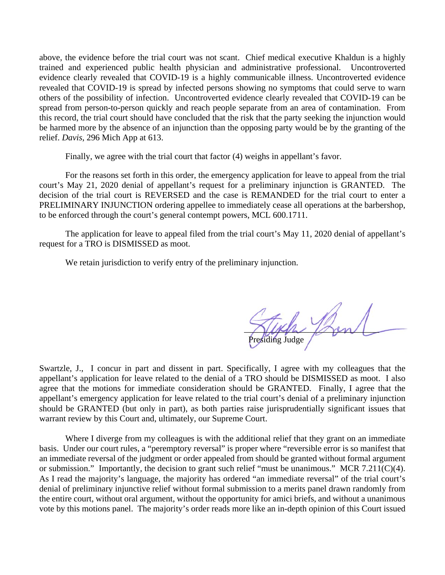above, the evidence before the trial court was not scant. Chief medical executive Khaldun is a highly trained and experienced public health physician and administrative professional. Uncontroverted evidence clearly revealed that COVID-19 is a highly communicable illness. Uncontroverted evidence revealed that COVID-19 is spread by infected persons showing no symptoms that could serve to warn others of the possibility of infection. Uncontroverted evidence clearly revealed that COVID-19 can be spread from person-to-person quickly and reach people separate from an area of contamination. From this record, the trial court should have concluded that the risk that the party seeking the injunction would be harmed more by the absence of an injunction than the opposing party would be by the granting of the relief. *Davis*, 296 Mich App at 613.

Finally, we agree with the trial court that factor (4) weighs in appellant's favor.

For the reasons set forth in this order, the emergency application for leave to appeal from the trial court's May 21, 2020 denial of appellant's request for a preliminary injunction is GRANTED. The decision of the trial court is REVERSED and the case is REMANDED for the trial court to enter a PRELIMINARY INJUNCTION ordering appellee to immediately cease all operations at the barbershop, to be enforced through the court's general contempt powers, MCL 600.1711.

The application for leave to appeal filed from the trial court's May 11, 2020 denial of appellant's request for a TRO is DISMISSED as moot.

We retain jurisdiction to verify entry of the preliminary injunction.

\_\_\_\_\_\_\_\_\_\_\_\_\_\_\_\_\_\_\_\_\_\_\_\_\_\_\_\_\_\_\_ Presiding Judge

Swartzle, J., I concur in part and dissent in part. Specifically, I agree with my colleagues that the appellant's application for leave related to the denial of a TRO should be DISMISSED as moot. I also agree that the motions for immediate consideration should be GRANTED. Finally, I agree that the appellant's emergency application for leave related to the trial court's denial of a preliminary injunction should be GRANTED (but only in part), as both parties raise jurisprudentially significant issues that warrant review by this Court and, ultimately, our Supreme Court.

Where I diverge from my colleagues is with the additional relief that they grant on an immediate basis. Under our court rules, a "peremptory reversal" is proper where "reversible error is so manifest that an immediate reversal of the judgment or order appealed from should be granted without formal argument or submission." Importantly, the decision to grant such relief "must be unanimous." MCR 7.211(C)(4). As I read the majority's language, the majority has ordered "an immediate reversal" of the trial court's denial of preliminary injunctive relief without formal submission to a merits panel drawn randomly from the entire court, without oral argument, without the opportunity for amici briefs, and without a unanimous vote by this motions panel. The majority's order reads more like an in-depth opinion of this Court issued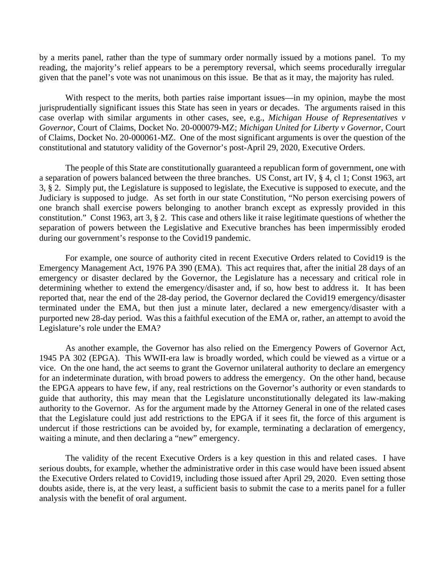by a merits panel, rather than the type of summary order normally issued by a motions panel. To my reading, the majority's relief appears to be a peremptory reversal, which seems procedurally irregular given that the panel's vote was not unanimous on this issue. Be that as it may, the majority has ruled.

With respect to the merits, both parties raise important issues—in my opinion, maybe the most jurisprudentially significant issues this State has seen in years or decades. The arguments raised in this case overlap with similar arguments in other cases, see, e.g., *Michigan House of Representatives v Governor*, Court of Claims, Docket No. 20-000079-MZ; *Michigan United for Liberty v Governor*, Court of Claims, Docket No. 20-000061-MZ. One of the most significant arguments is over the question of the constitutional and statutory validity of the Governor's post-April 29, 2020, Executive Orders.

The people of this State are constitutionally guaranteed a republican form of government, one with a separation of powers balanced between the three branches. US Const, art IV, § 4, cl 1; Const 1963, art 3, § 2. Simply put, the Legislature is supposed to legislate, the Executive is supposed to execute, and the Judiciary is supposed to judge. As set forth in our state Constitution, "No person exercising powers of one branch shall exercise powers belonging to another branch except as expressly provided in this constitution." Const 1963, art 3, § 2. This case and others like it raise legitimate questions of whether the separation of powers between the Legislative and Executive branches has been impermissibly eroded during our government's response to the Covid19 pandemic.

For example, one source of authority cited in recent Executive Orders related to Covid19 is the Emergency Management Act, 1976 PA 390 (EMA). This act requires that, after the initial 28 days of an emergency or disaster declared by the Governor, the Legislature has a necessary and critical role in determining whether to extend the emergency/disaster and, if so, how best to address it. It has been reported that, near the end of the 28-day period, the Governor declared the Covid19 emergency/disaster terminated under the EMA, but then just a minute later, declared a new emergency/disaster with a purported new 28-day period. Was this a faithful execution of the EMA or, rather, an attempt to avoid the Legislature's role under the EMA?

As another example, the Governor has also relied on the Emergency Powers of Governor Act, 1945 PA 302 (EPGA). This WWII-era law is broadly worded, which could be viewed as a virtue or a vice. On the one hand, the act seems to grant the Governor unilateral authority to declare an emergency for an indeterminate duration, with broad powers to address the emergency. On the other hand, because the EPGA appears to have few, if any, real restrictions on the Governor's authority or even standards to guide that authority, this may mean that the Legislature unconstitutionally delegated its law-making authority to the Governor. As for the argument made by the Attorney General in one of the related cases that the Legislature could just add restrictions to the EPGA if it sees fit, the force of this argument is undercut if those restrictions can be avoided by, for example, terminating a declaration of emergency, waiting a minute, and then declaring a "new" emergency.

The validity of the recent Executive Orders is a key question in this and related cases. I have serious doubts, for example, whether the administrative order in this case would have been issued absent the Executive Orders related to Covid19, including those issued after April 29, 2020. Even setting those doubts aside, there is, at the very least, a sufficient basis to submit the case to a merits panel for a fuller analysis with the benefit of oral argument.